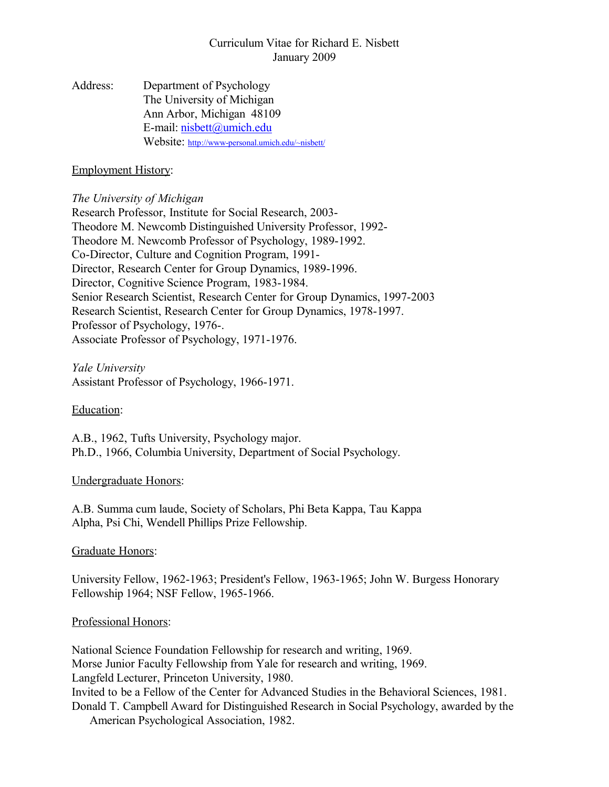## Curriculum Vitae for Richard E. Nisbett January 2009

Address: Department of Psychology The University of Michigan Ann Arbor, Michigan 48109 E-mail: [nisbett@umich.edu](mailto:nisbett@umich.edu) Website: http://www-personal.umich.edu/~nisbett/

#### Employment History:

#### *The University of Michigan*

Research Professor, Institute for Social Research, 2003- Theodore M. Newcomb Distinguished University Professor, 1992- Theodore M. Newcomb Professor of Psychology, 1989-1992. Co-Director, Culture and Cognition Program, 1991- Director, Research Center for Group Dynamics, 1989-1996. Director, Cognitive Science Program, 1983-1984. Senior Research Scientist, Research Center for Group Dynamics, 1997-2003 Research Scientist, Research Center for Group Dynamics, 1978-1997. Professor of Psychology, 1976-. Associate Professor of Psychology, 1971-1976.

# *Yale University*

Assistant Professor of Psychology, 1966-1971.

Education:

A.B., 1962, Tufts University, Psychology major. Ph.D., 1966, Columbia University, Department of Social Psychology.

## Undergraduate Honors:

A.B. Summa cum laude, Society of Scholars, Phi Beta Kappa, Tau Kappa Alpha, Psi Chi, Wendell Phillips Prize Fellowship.

## Graduate Honors:

University Fellow, 1962-1963; President's Fellow, 1963-1965; John W. Burgess Honorary Fellowship 1964; NSF Fellow, 1965-1966.

## Professional Honors:

National Science Foundation Fellowship for research and writing, 1969. Morse Junior Faculty Fellowship from Yale for research and writing, 1969. Langfeld Lecturer, Princeton University, 1980. Invited to be a Fellow of the Center for Advanced Studies in the Behavioral Sciences, 1981. Donald T. Campbell Award for Distinguished Research in Social Psychology, awarded by the American Psychological Association, 1982.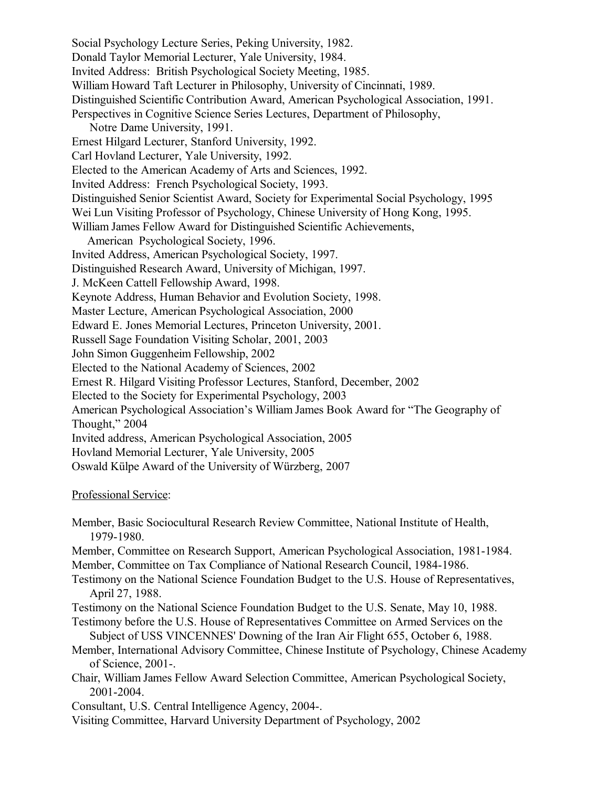Social Psychology Lecture Series, Peking University, 1982. Donald Taylor Memorial Lecturer, Yale University, 1984. Invited Address: British Psychological Society Meeting, 1985. William Howard Taft Lecturer in Philosophy, University of Cincinnati, 1989. Distinguished Scientific Contribution Award, American Psychological Association, 1991. Perspectives in Cognitive Science Series Lectures, Department of Philosophy, Notre Dame University, 1991. Ernest Hilgard Lecturer, Stanford University, 1992. Carl Hovland Lecturer, Yale University, 1992. Elected to the American Academy of Arts and Sciences, 1992. Invited Address: French Psychological Society, 1993. Distinguished Senior Scientist Award, Society for Experimental Social Psychology, 1995 Wei Lun Visiting Professor of Psychology, Chinese University of Hong Kong, 1995. William James Fellow Award for Distinguished Scientific Achievements, American Psychological Society, 1996. Invited Address, American Psychological Society, 1997. Distinguished Research Award, University of Michigan, 1997. J. McKeen Cattell Fellowship Award, 1998. Keynote Address, Human Behavior and Evolution Society, 1998. Master Lecture, American Psychological Association, 2000 Edward E. Jones Memorial Lectures, Princeton University, 2001. Russell Sage Foundation Visiting Scholar, 2001, 2003 John Simon Guggenheim Fellowship, 2002 Elected to the National Academy of Sciences, 2002 Ernest R. Hilgard Visiting Professor Lectures, Stanford, December, 2002 Elected to the Society for Experimental Psychology, 2003 American Psychological Association's William James Book Award for "The Geography of Thought," 2004 Invited address, American Psychological Association, 2005 Hovland Memorial Lecturer, Yale University, 2005 Oswald Külpe Award of the University of Würzberg, 2007

#### Professional Service:

- Member, Basic Sociocultural Research Review Committee, National Institute of Health, 1979-1980.
- Member, Committee on Research Support, American Psychological Association, 1981-1984.
- Member, Committee on Tax Compliance of National Research Council, 1984-1986.
- Testimony on the National Science Foundation Budget to the U.S. House of Representatives, April 27, 1988.
- Testimony on the National Science Foundation Budget to the U.S. Senate, May 10, 1988.
- Testimony before the U.S. House of Representatives Committee on Armed Services on the Subject of USS VINCENNES' Downing of the Iran Air Flight 655, October 6, 1988.
- Member, International Advisory Committee, Chinese Institute of Psychology, Chinese Academy of Science, 2001-.
- Chair, William James Fellow Award Selection Committee, American Psychological Society, 2001-2004.
- Consultant, U.S. Central Intelligence Agency, 2004-.
- Visiting Committee, Harvard University Department of Psychology, 2002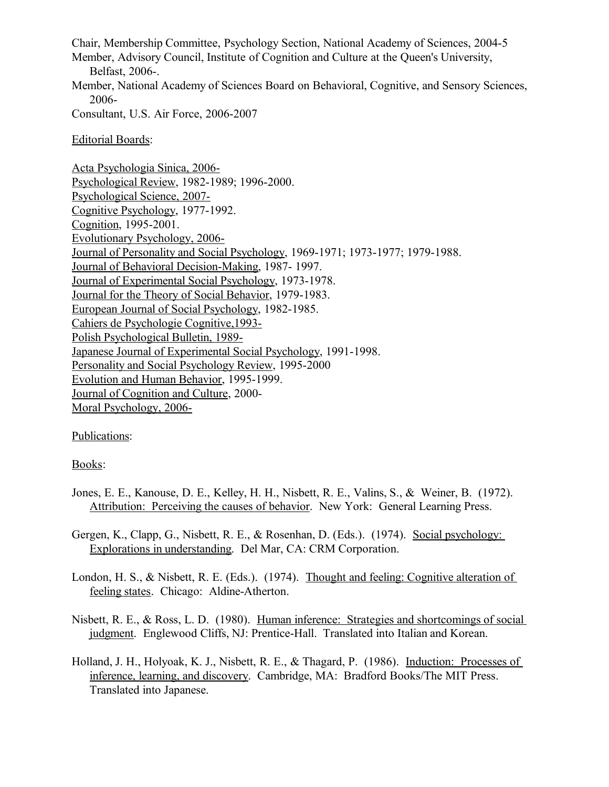Chair, Membership Committee, Psychology Section, National Academy of Sciences, 2004-5 Member, Advisory Council, Institute of Cognition and Culture at the Queen's University, Belfast, 2006-. Member, National Academy of Sciences Board on Behavioral, Cognitive, and Sensory Sciences, 2006- Consultant, U.S. Air Force, 2006-2007 Editorial Boards: Acta Psychologia Sinica, 2006- Psychological Review, 1982-1989; 1996-2000. Psychological Science, 2007- Cognitive Psychology, 1977-1992. Cognition, 1995-2001. Evolutionary Psychology, 2006- Journal of Personality and Social Psychology, 1969-1971; 1973-1977; 1979-1988. Journal of Behavioral Decision-Making, 1987- 1997. Journal of Experimental Social Psychology, 1973-1978.

Journal for the Theory of Social Behavior, 1979-1983. European Journal of Social Psychology, 1982-1985. Cahiers de Psychologie Cognitive,1993- Polish Psychological Bulletin, 1989- Japanese Journal of Experimental Social Psychology, 1991-1998. Personality and Social Psychology Review, 1995-2000 Evolution and Human Behavior, 1995-1999.

Journal of Cognition and Culture, 2000-

Moral Psychology, 2006-

Publications:

#### Books:

Jones, E. E., Kanouse, D. E., Kelley, H. H., Nisbett, R. E., Valins, S., & Weiner, B. (1972). Attribution: Perceiving the causes of behavior. New York: General Learning Press.

Gergen, K., Clapp, G., Nisbett, R. E., & Rosenhan, D. (Eds.). (1974). Social psychology: Explorations in understanding. Del Mar, CA: CRM Corporation.

London, H. S., & Nisbett, R. E. (Eds.). (1974). Thought and feeling: Cognitive alteration of feeling states. Chicago: Aldine-Atherton.

Nisbett, R. E., & Ross, L. D. (1980). Human inference: Strategies and shortcomings of social judgment. Englewood Cliffs, NJ: Prentice-Hall. Translated into Italian and Korean.

Holland, J. H., Holyoak, K. J., Nisbett, R. E., & Thagard, P. (1986). Induction: Processes of inference, learning, and discovery. Cambridge, MA: Bradford Books/The MIT Press. Translated into Japanese.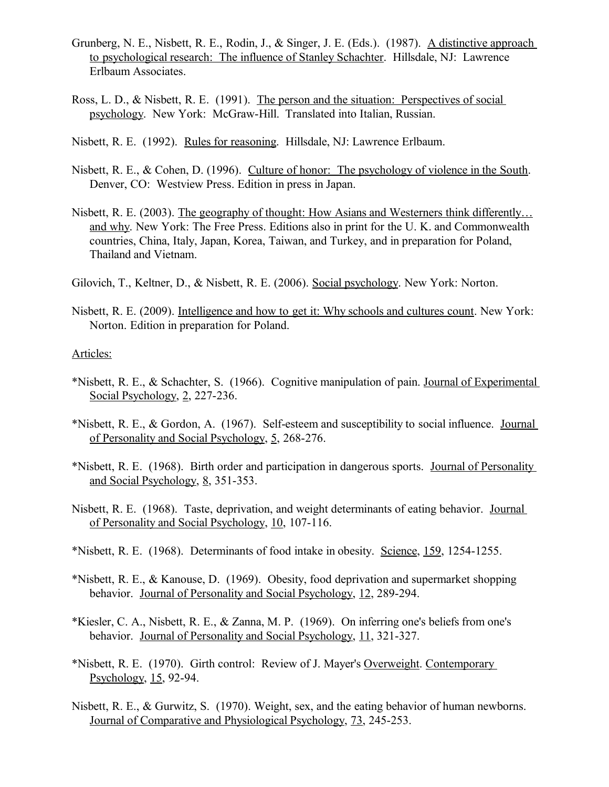- Grunberg, N. E., Nisbett, R. E., Rodin, J., & Singer, J. E. (Eds.). (1987). <u>A distinctive approach</u> to psychological research: The influence of Stanley Schachter. Hillsdale, NJ: Lawrence Erlbaum Associates.
- Ross, L. D., & Nisbett, R. E. (1991). The person and the situation: Perspectives of social psychology. New York: McGraw-Hill. Translated into Italian, Russian.
- Nisbett, R. E. (1992). Rules for reasoning. Hillsdale, NJ: Lawrence Erlbaum.
- Nisbett, R. E., & Cohen, D. (1996). Culture of honor: The psychology of violence in the South. Denver, CO: Westview Press. Edition in press in Japan.
- Nisbett, R. E. (2003). The geography of thought: How Asians and Westerners think differently… and why. New York: The Free Press. Editions also in print for the U. K. and Commonwealth countries, China, Italy, Japan, Korea, Taiwan, and Turkey, and in preparation for Poland, Thailand and Vietnam.
- Gilovich, T., Keltner, D., & Nisbett, R. E. (2006). Social psychology. New York: Norton.
- Nisbett, R. E. (2009). Intelligence and how to get it: Why schools and cultures count. New York: Norton. Edition in preparation for Poland.

#### Articles:

- \*Nisbett, R. E., & Schachter, S. (1966). Cognitive manipulation of pain. Journal of Experimental Social Psychology, 2, 227-236.
- \*Nisbett, R. E., & Gordon, A. (1967). Self-esteem and susceptibility to social influence. Journal of Personality and Social Psychology, 5, 268-276.
- \*Nisbett, R. E. (1968). Birth order and participation in dangerous sports. Journal of Personality and Social Psychology, 8, 351-353.
- Nisbett, R. E. (1968). Taste, deprivation, and weight determinants of eating behavior. Journal of Personality and Social Psychology, 10, 107-116.
- \*Nisbett, R. E. (1968). Determinants of food intake in obesity. Science, 159, 1254-1255.
- \*Nisbett, R. E., & Kanouse, D. (1969). Obesity, food deprivation and supermarket shopping behavior. Journal of Personality and Social Psychology, 12, 289-294.
- \*Kiesler, C. A., Nisbett, R. E., & Zanna, M. P. (1969). On inferring one's beliefs from one's behavior. Journal of Personality and Social Psychology, 11, 321-327.
- \*Nisbett, R. E. (1970). Girth control: Review of J. Mayer's Overweight. Contemporary Psychology, 15, 92-94.
- Nisbett, R. E., & Gurwitz, S. (1970). Weight, sex, and the eating behavior of human newborns. Journal of Comparative and Physiological Psychology, 73, 245-253.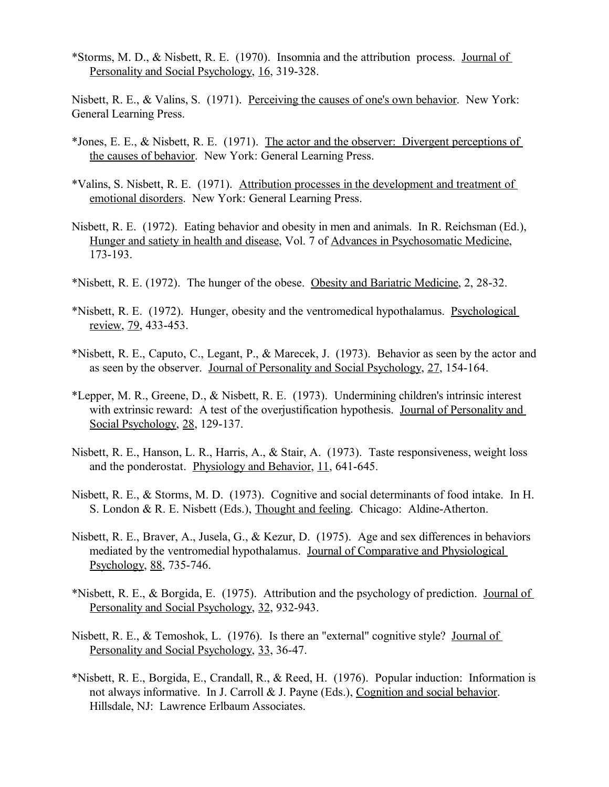\*Storms, M. D., & Nisbett, R. E. (1970). Insomnia and the attribution process. Journal of Personality and Social Psychology, 16, 319-328.

Nisbett, R. E., & Valins, S. (1971). Perceiving the causes of one's own behavior. New York: General Learning Press.

- \*Jones, E. E., & Nisbett, R. E. (1971). The actor and the observer: Divergent perceptions of the causes of behavior. New York: General Learning Press.
- \*Valins, S. Nisbett, R. E. (1971). Attribution processes in the development and treatment of emotional disorders. New York: General Learning Press.
- Nisbett, R. E. (1972). Eating behavior and obesity in men and animals. In R. Reichsman (Ed.), Hunger and satiety in health and disease, Vol. 7 of Advances in Psychosomatic Medicine, 173-193.
- \*Nisbett, R. E. (1972). The hunger of the obese. Obesity and Bariatric Medicine, 2, 28-32.
- \*Nisbett, R. E. (1972). Hunger, obesity and the ventromedical hypothalamus. Psychological review, 79, 433-453.
- \*Nisbett, R. E., Caputo, C., Legant, P., & Marecek, J. (1973). Behavior as seen by the actor and as seen by the observer. Journal of Personality and Social Psychology, 27, 154-164.
- \*Lepper, M. R., Greene, D., & Nisbett, R. E. (1973). Undermining children's intrinsic interest with extrinsic reward: A test of the overjustification hypothesis. Journal of Personality and Social Psychology, 28, 129-137.
- Nisbett, R. E., Hanson, L. R., Harris, A., & Stair, A. (1973). Taste responsiveness, weight loss and the ponderostat. Physiology and Behavior, 11, 641-645.
- Nisbett, R. E., & Storms, M. D. (1973). Cognitive and social determinants of food intake. In H. S. London & R. E. Nisbett (Eds.), Thought and feeling. Chicago: Aldine-Atherton.
- Nisbett, R. E., Braver, A., Jusela, G., & Kezur, D. (1975). Age and sex differences in behaviors mediated by the ventromedial hypothalamus. Journal of Comparative and Physiological Psychology, 88, 735-746.
- \*Nisbett, R. E., & Borgida, E. (1975). Attribution and the psychology of prediction. Journal of Personality and Social Psychology, 32, 932-943.
- Nisbett, R. E., & Temoshok, L. (1976). Is there an "external" cognitive style? Journal of Personality and Social Psychology, 33, 36-47.
- \*Nisbett, R. E., Borgida, E., Crandall, R., & Reed, H. (1976). Popular induction: Information is not always informative. In J. Carroll & J. Payne (Eds.), Cognition and social behavior. Hillsdale, NJ: Lawrence Erlbaum Associates.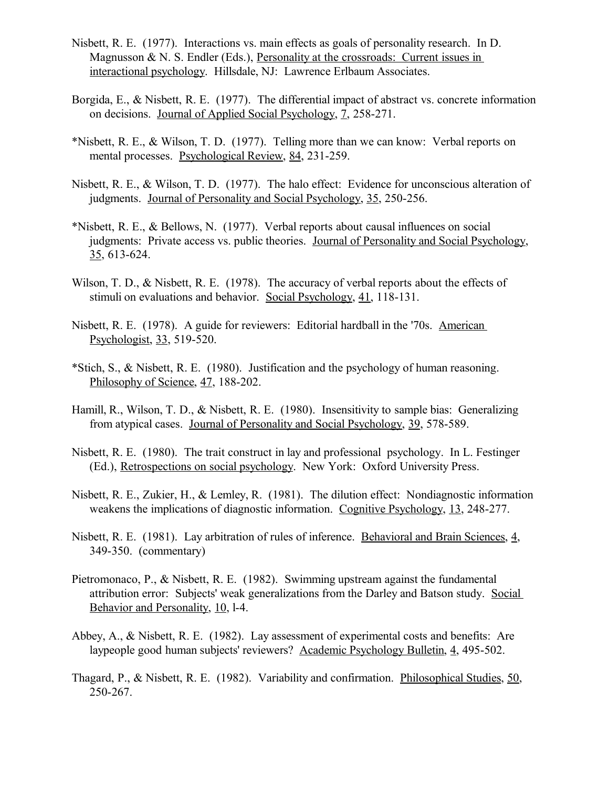- Nisbett, R. E. (1977). Interactions vs. main effects as goals of personality research. In D. Magnusson  $\& N. S.$  Endler (Eds.), Personality at the crossroads: Current issues in interactional psychology. Hillsdale, NJ: Lawrence Erlbaum Associates.
- Borgida, E., & Nisbett, R. E. (1977). The differential impact of abstract vs. concrete information on decisions. Journal of Applied Social Psychology, 7, 258-271.
- \*Nisbett, R. E., & Wilson, T. D. (1977). Telling more than we can know: Verbal reports on mental processes. Psychological Review, 84, 231-259.
- Nisbett, R. E., & Wilson, T. D. (1977). The halo effect: Evidence for unconscious alteration of judgments. Journal of Personality and Social Psychology, 35, 250-256.
- \*Nisbett, R. E., & Bellows, N. (1977). Verbal reports about causal influences on social judgments: Private access vs. public theories. Journal of Personality and Social Psychology, 35, 613-624.
- Wilson, T. D., & Nisbett, R. E. (1978). The accuracy of verbal reports about the effects of stimuli on evaluations and behavior. Social Psychology, 41, 118-131.
- Nisbett, R. E. (1978). A guide for reviewers: Editorial hardball in the '70s. American Psychologist, 33, 519-520.
- \*Stich, S., & Nisbett, R. E. (1980). Justification and the psychology of human reasoning. Philosophy of Science, 47, 188-202.
- Hamill, R., Wilson, T. D., & Nisbett, R. E. (1980). Insensitivity to sample bias: Generalizing from atypical cases. Journal of Personality and Social Psychology, 39, 578-589.
- Nisbett, R. E. (1980). The trait construct in lay and professional psychology. In L. Festinger (Ed.), Retrospections on social psychology. New York: Oxford University Press.
- Nisbett, R. E., Zukier, H., & Lemley, R. (1981). The dilution effect: Nondiagnostic information weakens the implications of diagnostic information. Cognitive Psychology, 13, 248-277.
- Nisbett, R. E. (1981). Lay arbitration of rules of inference. Behavioral and Brain Sciences, 4, 349-350. (commentary)
- Pietromonaco, P., & Nisbett, R. E. (1982). Swimming upstream against the fundamental attribution error: Subjects' weak generalizations from the Darley and Batson study. Social Behavior and Personality, 10, l-4.
- Abbey, A., & Nisbett, R. E. (1982). Lay assessment of experimental costs and benefits: Are laypeople good human subjects' reviewers? Academic Psychology Bulletin, 4, 495-502.
- Thagard, P., & Nisbett, R. E. (1982). Variability and confirmation. Philosophical Studies, 50, 250-267.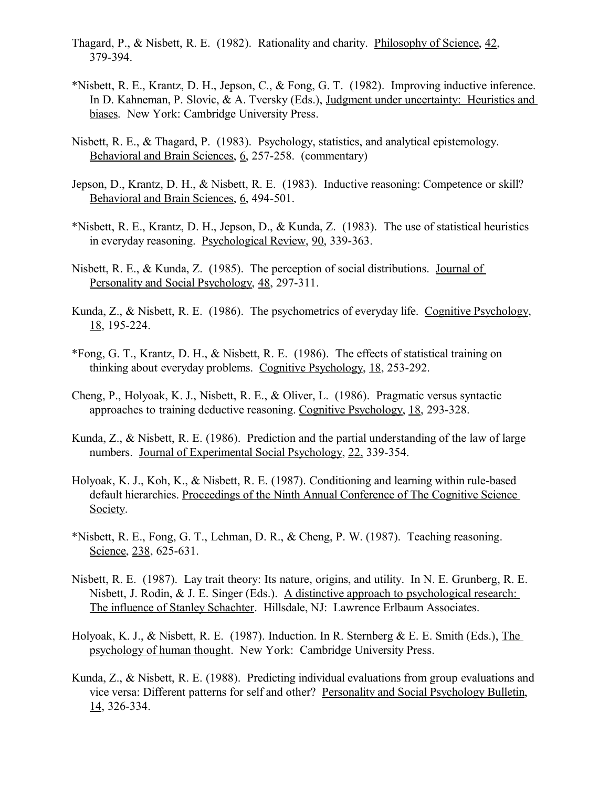- Thagard, P., & Nisbett, R. E. (1982). Rationality and charity. Philosophy of Science, 42, 379-394.
- \*Nisbett, R. E., Krantz, D. H., Jepson, C., & Fong, G. T. (1982). Improving inductive inference. In D. Kahneman, P. Slovic, & A. Tversky (Eds.), Judgment under uncertainty: Heuristics and biases. New York: Cambridge University Press.
- Nisbett, R. E., & Thagard, P. (1983). Psychology, statistics, and analytical epistemology. Behavioral and Brain Sciences, 6, 257-258. (commentary)
- Jepson, D., Krantz, D. H., & Nisbett, R. E. (1983). Inductive reasoning: Competence or skill? Behavioral and Brain Sciences, 6, 494-501.
- \*Nisbett, R. E., Krantz, D. H., Jepson, D., & Kunda, Z. (1983). The use of statistical heuristics in everyday reasoning. Psychological Review, 90, 339-363.
- Nisbett, R. E., & Kunda, Z. (1985). The perception of social distributions. Journal of Personality and Social Psychology, 48, 297-311.
- Kunda, Z., & Nisbett, R. E. (1986). The psychometrics of everyday life. Cognitive Psychology, 18, 195-224.
- \*Fong, G. T., Krantz, D. H., & Nisbett, R. E. (1986). The effects of statistical training on thinking about everyday problems. Cognitive Psychology, 18, 253-292.
- Cheng, P., Holyoak, K. J., Nisbett, R. E., & Oliver, L. (1986). Pragmatic versus syntactic approaches to training deductive reasoning. Cognitive Psychology, 18, 293-328.
- Kunda, Z., & Nisbett, R. E. (1986). Prediction and the partial understanding of the law of large numbers. Journal of Experimental Social Psychology, 22, 339-354.
- Holyoak, K. J., Koh, K., & Nisbett, R. E. (1987). Conditioning and learning within rule-based default hierarchies. Proceedings of the Ninth Annual Conference of The Cognitive Science Society.
- \*Nisbett, R. E., Fong, G. T., Lehman, D. R., & Cheng, P. W. (1987). Teaching reasoning. Science, 238, 625-631.
- Nisbett, R. E. (1987). Lay trait theory: Its nature, origins, and utility. In N. E. Grunberg, R. E. Nisbett, J. Rodin, & J. E. Singer (Eds.). A distinctive approach to psychological research: The influence of Stanley Schachter. Hillsdale, NJ: Lawrence Erlbaum Associates.
- Holyoak, K. J., & Nisbett, R. E. (1987). Induction. In R. Sternberg & E. E. Smith (Eds.), The psychology of human thought. New York: Cambridge University Press.
- Kunda, Z., & Nisbett, R. E. (1988). Predicting individual evaluations from group evaluations and vice versa: Different patterns for self and other? Personality and Social Psychology Bulletin, 14, 326-334.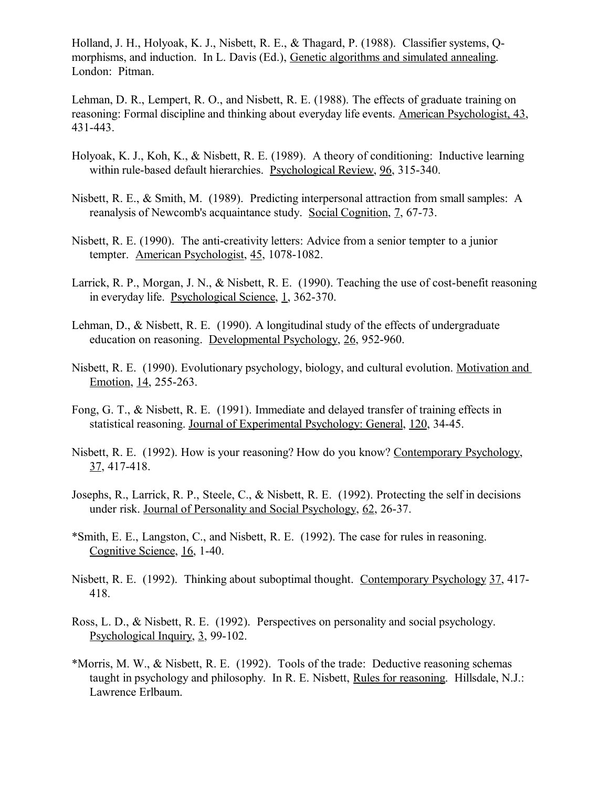Holland, J. H., Holyoak, K. J., Nisbett, R. E., & Thagard, P. (1988). Classifier systems, Qmorphisms, and induction. In L. Davis (Ed.), Genetic algorithms and simulated annealing. London: Pitman.

Lehman, D. R., Lempert, R. O., and Nisbett, R. E. (1988). The effects of graduate training on reasoning: Formal discipline and thinking about everyday life events. American Psychologist, 43, 431-443.

- Holyoak, K. J., Koh, K., & Nisbett, R. E. (1989). A theory of conditioning: Inductive learning within rule-based default hierarchies. Psychological Review, 96, 315-340.
- Nisbett, R. E., & Smith, M. (1989). Predicting interpersonal attraction from small samples: A reanalysis of Newcomb's acquaintance study. Social Cognition, 7, 67-73.
- Nisbett, R. E. (1990). The anti-creativity letters: Advice from a senior tempter to a junior tempter. American Psychologist, 45, 1078-1082.
- Larrick, R. P., Morgan, J. N., & Nisbett, R. E. (1990). Teaching the use of cost-benefit reasoning in everyday life. Psychological Science, 1, 362-370.
- Lehman, D., & Nisbett, R. E. (1990). A longitudinal study of the effects of undergraduate education on reasoning. Developmental Psychology, 26, 952-960.
- Nisbett, R. E. (1990). Evolutionary psychology, biology, and cultural evolution. Motivation and Emotion, 14, 255-263.
- Fong, G. T., & Nisbett, R. E. (1991). Immediate and delayed transfer of training effects in statistical reasoning. Journal of Experimental Psychology: General, 120, 34-45.
- Nisbett, R. E. (1992). How is your reasoning? How do you know? Contemporary Psychology, 37, 417-418.
- Josephs, R., Larrick, R. P., Steele, C., & Nisbett, R. E. (1992). Protecting the self in decisions under risk. Journal of Personality and Social Psychology, 62, 26-37.
- \*Smith, E. E., Langston, C., and Nisbett, R. E. (1992). The case for rules in reasoning. Cognitive Science, 16, 1-40.
- Nisbett, R. E. (1992). Thinking about suboptimal thought. Contemporary Psychology 37, 417- 418.
- Ross, L. D., & Nisbett, R. E. (1992). Perspectives on personality and social psychology. Psychological Inquiry, 3, 99-102.
- \*Morris, M. W., & Nisbett, R. E. (1992). Tools of the trade: Deductive reasoning schemas taught in psychology and philosophy. In R. E. Nisbett, Rules for reasoning. Hillsdale, N.J.: Lawrence Erlbaum.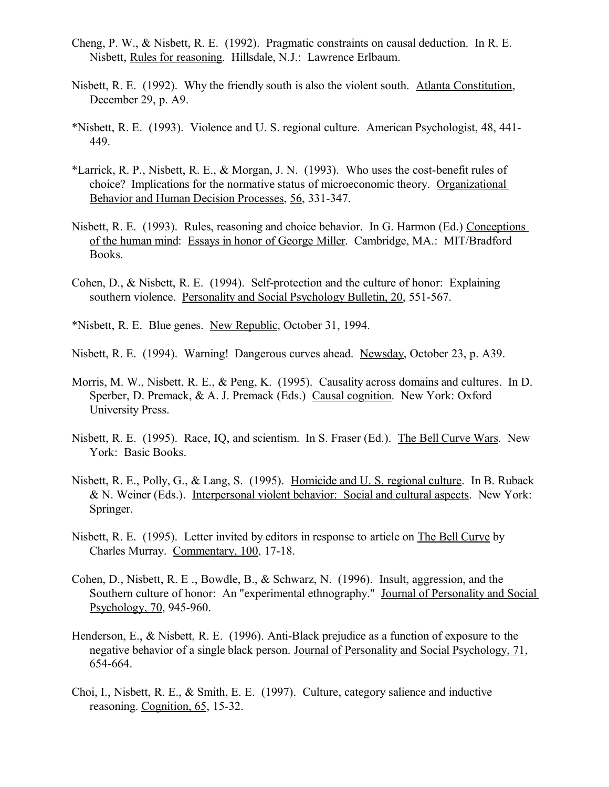- Cheng, P. W., & Nisbett, R. E. (1992). Pragmatic constraints on causal deduction. In R. E. Nisbett, Rules for reasoning. Hillsdale, N.J.: Lawrence Erlbaum.
- Nisbett, R. E. (1992). Why the friendly south is also the violent south. Atlanta Constitution, December 29, p. A9.
- \*Nisbett, R. E. (1993). Violence and U. S. regional culture. American Psychologist, 48, 441- 449.
- \*Larrick, R. P., Nisbett, R. E., & Morgan, J. N. (1993). Who uses the cost-benefit rules of choice? Implications for the normative status of microeconomic theory. Organizational Behavior and Human Decision Processes, 56, 331-347.
- Nisbett, R. E. (1993). Rules, reasoning and choice behavior. In G. Harmon (Ed.) Conceptions of the human mind: Essays in honor of George Miller. Cambridge, MA.: MIT/Bradford Books.
- Cohen, D., & Nisbett, R. E. (1994). Self-protection and the culture of honor: Explaining southern violence. Personality and Social Psychology Bulletin, 20, 551-567.
- \*Nisbett, R. E. Blue genes. New Republic, October 31, 1994.
- Nisbett, R. E. (1994). Warning! Dangerous curves ahead. Newsday, October 23, p. A39.
- Morris, M. W., Nisbett, R. E., & Peng, K. (1995). Causality across domains and cultures. In D. Sperber, D. Premack, & A. J. Premack (Eds.) Causal cognition. New York: Oxford University Press.
- Nisbett, R. E. (1995). Race, IQ, and scientism. In S. Fraser (Ed.). The Bell Curve Wars. New York: Basic Books.
- Nisbett, R. E., Polly, G., & Lang, S. (1995). Homicide and U. S. regional culture. In B. Ruback & N. Weiner (Eds.). Interpersonal violent behavior: Social and cultural aspects. New York: Springer.
- Nisbett, R. E. (1995). Letter invited by editors in response to article on The Bell Curve by Charles Murray. Commentary, 100, 17-18.
- Cohen, D., Nisbett, R. E ., Bowdle, B., & Schwarz, N. (1996). Insult, aggression, and the Southern culture of honor: An "experimental ethnography." Journal of Personality and Social Psychology, 70, 945-960.
- Henderson, E., & Nisbett, R. E. (1996). Anti-Black prejudice as a function of exposure to the negative behavior of a single black person. Journal of Personality and Social Psychology, 71, 654-664.
- Choi, I., Nisbett, R. E., & Smith, E. E. (1997). Culture, category salience and inductive reasoning. Cognition, 65, 15-32.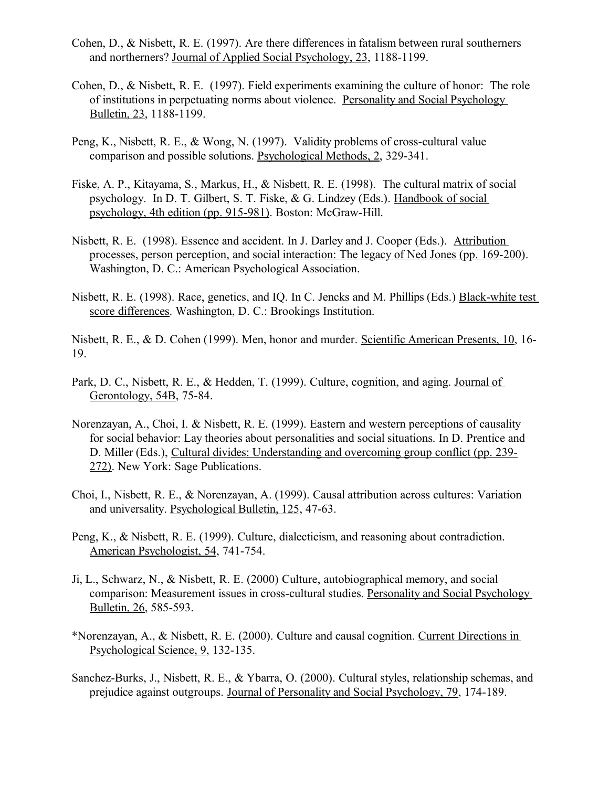- Cohen, D., & Nisbett, R. E. (1997). Are there differences in fatalism between rural southerners and northerners? Journal of Applied Social Psychology, 23, 1188-1199.
- Cohen, D., & Nisbett, R. E. (1997). Field experiments examining the culture of honor: The role of institutions in perpetuating norms about violence. Personality and Social Psychology Bulletin, 23, 1188-1199.
- Peng, K., Nisbett, R. E., & Wong, N. (1997). Validity problems of cross-cultural value comparison and possible solutions. Psychological Methods, 2, 329-341.
- Fiske, A. P., Kitayama, S., Markus, H., & Nisbett, R. E. (1998). The cultural matrix of social psychology. In D. T. Gilbert, S. T. Fiske, & G. Lindzey (Eds.). Handbook of social psychology, 4th edition (pp. 915-981). Boston: McGraw-Hill.
- Nisbett, R. E. (1998). Essence and accident. In J. Darley and J. Cooper (Eds.). Attribution processes, person perception, and social interaction: The legacy of Ned Jones (pp. 169-200). Washington, D. C.: American Psychological Association.
- Nisbett, R. E. (1998). Race, genetics, and IQ. In C. Jencks and M. Phillips (Eds.) Black-white test score differences. Washington, D. C.: Brookings Institution.

Nisbett, R. E., & D. Cohen (1999). Men, honor and murder. Scientific American Presents, 10, 16- 19.

- Park, D. C., Nisbett, R. E., & Hedden, T. (1999). Culture, cognition, and aging. Journal of Gerontology, 54B, 75-84.
- Norenzayan, A., Choi, I. & Nisbett, R. E. (1999). Eastern and western perceptions of causality for social behavior: Lay theories about personalities and social situations. In D. Prentice and D. Miller (Eds.), Cultural divides: Understanding and overcoming group conflict (pp. 239- 272). New York: Sage Publications.
- Choi, I., Nisbett, R. E., & Norenzayan, A. (1999). Causal attribution across cultures: Variation and universality. Psychological Bulletin, 125, 47-63.
- Peng, K., & Nisbett, R. E. (1999). Culture, dialecticism, and reasoning about contradiction. American Psychologist, 54, 741-754.
- Ji, L., Schwarz, N., & Nisbett, R. E. (2000) Culture, autobiographical memory, and social comparison: Measurement issues in cross-cultural studies. Personality and Social Psychology Bulletin, 26, 585-593.
- \*Norenzayan, A., & Nisbett, R. E. (2000). Culture and causal cognition. Current Directions in Psychological Science, 9, 132-135.
- Sanchez-Burks, J., Nisbett, R. E., & Ybarra, O. (2000). Cultural styles, relationship schemas, and prejudice against outgroups. Journal of Personality and Social Psychology, 79, 174-189.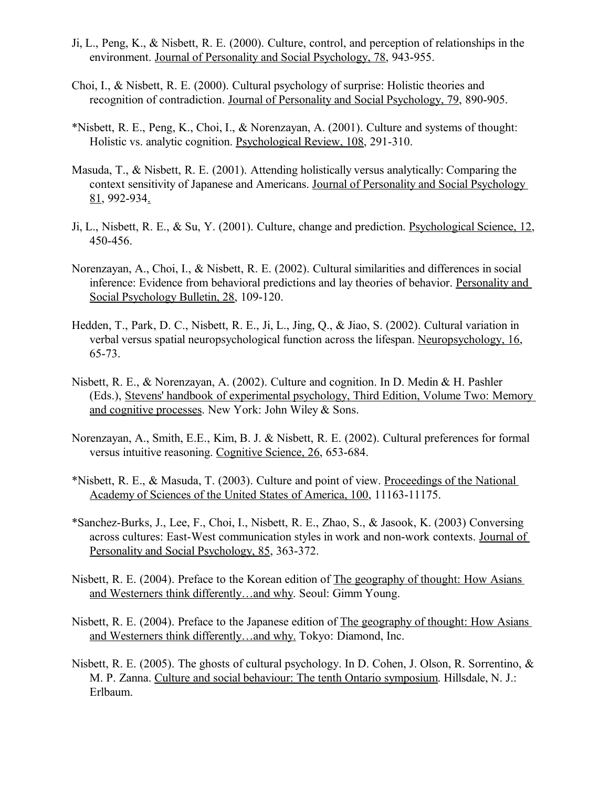- Ji, L., Peng, K., & Nisbett, R. E. (2000). Culture, control, and perception of relationships in the environment. Journal of Personality and Social Psychology, 78, 943-955.
- Choi, I., & Nisbett, R. E. (2000). Cultural psychology of surprise: Holistic theories and recognition of contradiction. Journal of Personality and Social Psychology, 79, 890-905.
- \*Nisbett, R. E., Peng, K., Choi, I., & Norenzayan, A. (2001). Culture and systems of thought: Holistic vs. analytic cognition. Psychological Review, 108, 291-310.
- Masuda, T., & Nisbett, R. E. (2001). Attending holistically versus analytically: Comparing the context sensitivity of Japanese and Americans. Journal of Personality and Social Psychology 81, 992-934.
- Ji, L., Nisbett, R. E., & Su, Y. (2001). Culture, change and prediction. Psychological Science, 12, 450-456.
- Norenzayan, A., Choi, I., & Nisbett, R. E. (2002). Cultural similarities and differences in social inference: Evidence from behavioral predictions and lay theories of behavior. Personality and Social Psychology Bulletin, 28, 109-120.
- Hedden, T., Park, D. C., Nisbett, R. E., Ji, L., Jing, Q., & Jiao, S. (2002). Cultural variation in verbal versus spatial neuropsychological function across the lifespan. Neuropsychology, 16, 65-73.
- Nisbett, R. E., & Norenzayan, A. (2002). Culture and cognition. In D. Medin & H. Pashler (Eds.), Stevens' handbook of experimental psychology, Third Edition, Volume Two: Memory and cognitive processes. New York: John Wiley & Sons.
- Norenzayan, A., Smith, E.E., Kim, B. J. & Nisbett, R. E. (2002). Cultural preferences for formal versus intuitive reasoning. Cognitive Science, 26, 653-684.
- \*Nisbett, R. E., & Masuda, T. (2003). Culture and point of view. Proceedings of the National Academy of Sciences of the United States of America, 100, 11163-11175.
- \*Sanchez-Burks, J., Lee, F., Choi, I., Nisbett, R. E., Zhao, S., & Jasook, K. (2003) Conversing across cultures: East-West communication styles in work and non-work contexts. Journal of Personality and Social Psychology, 85, 363-372.
- Nisbett, R. E. (2004). Preface to the Korean edition of The geography of thought: How Asians and Westerners think differently…and why. Seoul: Gimm Young.
- Nisbett, R. E. (2004). Preface to the Japanese edition of The geography of thought: How Asians and Westerners think differently…and why. Tokyo: Diamond, Inc.
- Nisbett, R. E. (2005). The ghosts of cultural psychology. In D. Cohen, J. Olson, R. Sorrentino, & M. P. Zanna. Culture and social behaviour: The tenth Ontario symposium. Hillsdale, N. J.: Erlbaum.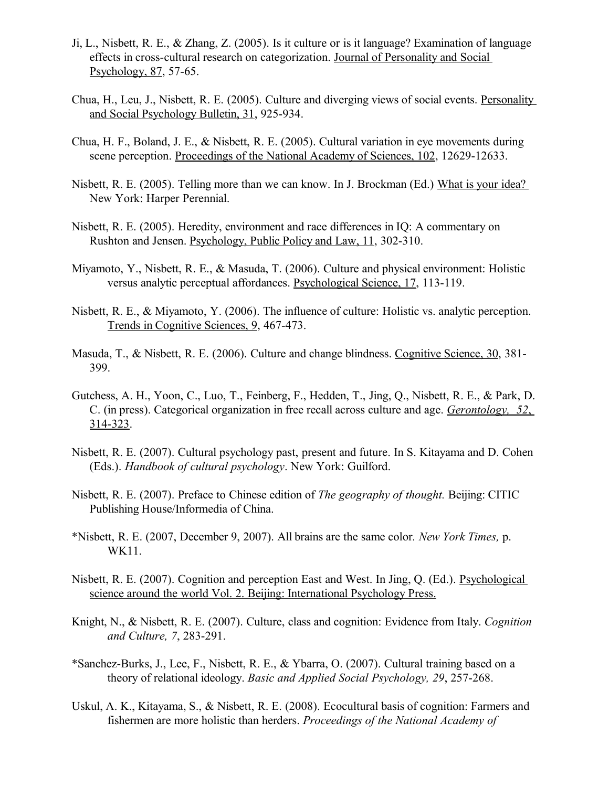- Ji, L., Nisbett, R. E., & Zhang, Z. (2005). Is it culture or is it language? Examination of language effects in cross-cultural research on categorization. Journal of Personality and Social Psychology, 87, 57-65.
- Chua, H., Leu, J., Nisbett, R. E. (2005). Culture and diverging views of social events. Personality and Social Psychology Bulletin, 31, 925-934.
- Chua, H. F., Boland, J. E., & Nisbett, R. E. (2005). Cultural variation in eye movements during scene perception. Proceedings of the National Academy of Sciences, 102, 12629-12633.
- Nisbett, R. E. (2005). Telling more than we can know. In J. Brockman (Ed.) What is your idea? New York: Harper Perennial.
- Nisbett, R. E. (2005). Heredity, environment and race differences in IQ: A commentary on Rushton and Jensen. Psychology, Public Policy and Law, 11, 302-310.
- Miyamoto, Y., Nisbett, R. E., & Masuda, T. (2006). Culture and physical environment: Holistic versus analytic perceptual affordances. Psychological Science, 17, 113-119.
- Nisbett, R. E., & Miyamoto, Y. (2006). The influence of culture: Holistic vs. analytic perception. Trends in Cognitive Sciences, 9, 467-473.
- Masuda, T., & Nisbett, R. E. (2006). Culture and change blindness. Cognitive Science, 30, 381- 399.
- Gutchess, A. H., Yoon, C., Luo, T., Feinberg, F., Hedden, T., Jing, Q., Nisbett, R. E., & Park, D. C. (in press). Categorical organization in free recall across culture and age. *Gerontology, 52*, 314-323.
- Nisbett, R. E. (2007). Cultural psychology past, present and future. In S. Kitayama and D. Cohen (Eds.). *Handbook of cultural psychology*. New York: Guilford.
- Nisbett, R. E. (2007). Preface to Chinese edition of *The geography of thought.* Beijing: CITIC Publishing House/Informedia of China.
- \*Nisbett, R. E. (2007, December 9, 2007). All brains are the same color*. New York Times,* p. WK11.
- Nisbett, R. E. (2007). Cognition and perception East and West. In Jing, Q. (Ed.). Psychological science around the world Vol. 2. Beijing: International Psychology Press.
- Knight, N., & Nisbett, R. E. (2007). Culture, class and cognition: Evidence from Italy. *Cognition and Culture, 7*, 283-291.
- \*Sanchez-Burks, J., Lee, F., Nisbett, R. E., & Ybarra, O. (2007). Cultural training based on a theory of relational ideology. *Basic and Applied Social Psychology, 29*, 257-268.
- Uskul, A. K., Kitayama, S., & Nisbett, R. E. (2008). Ecocultural basis of cognition: Farmers and fishermen are more holistic than herders. *Proceedings of the National Academy of*